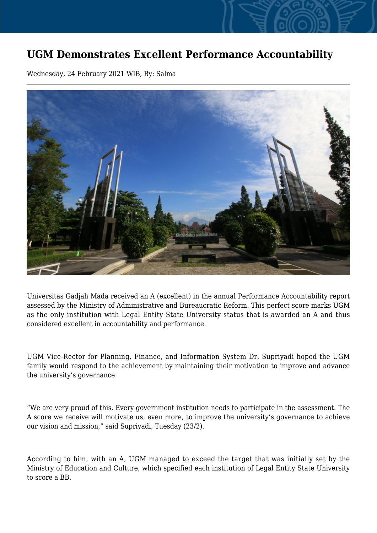## **UGM Demonstrates Excellent Performance Accountability**

Wednesday, 24 February 2021 WIB, By: Salma



Universitas Gadjah Mada received an A (excellent) in the annual Performance Accountability report assessed by the Ministry of Administrative and Bureaucratic Reform. This perfect score marks UGM as the only institution with Legal Entity State University status that is awarded an A and thus considered excellent in accountability and performance.

UGM Vice-Rector for Planning, Finance, and Information System Dr. Supriyadi hoped the UGM family would respond to the achievement by maintaining their motivation to improve and advance the university's governance.

"We are very proud of this. Every government institution needs to participate in the assessment. The A score we receive will motivate us, even more, to improve the university's governance to achieve our vision and mission," said Supriyadi, Tuesday (23/2).

According to him, with an A, UGM managed to exceed the target that was initially set by the Ministry of Education and Culture, which specified each institution of Legal Entity State University to score a BB.